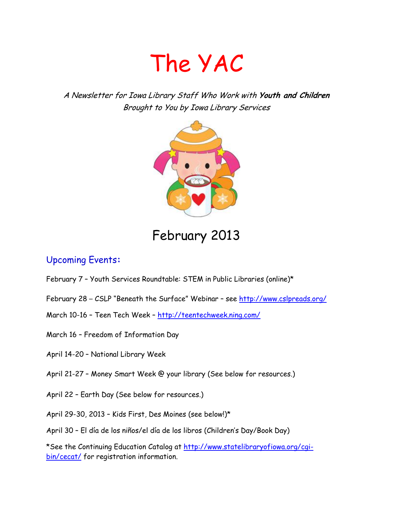# The YAC

A Newsletter for Iowa Library Staff Who Work with **Youth and Children** Brought to You by Iowa Library Services



# February 2013

## Upcoming Events**:**

- February 7 Youth Services Roundtable: STEM in Public Libraries (online)\*
- February 28 CSLP "Beneath the Surface" Webinar see<http://www.cslpreads.org/>
- March 10-16 Teen Tech Week <http://teentechweek.ning.com/>
- March 16 Freedom of Information Day
- April 14-20 National Library Week
- April 21-27 Money Smart Week @ your library (See below for resources.)
- April 22 Earth Day (See below for resources.)
- April 29-30, 2013 Kids First, Des Moines (see below!)\*
- April 30 El día de los niños/el día de los libros (Children's Day/Book Day)

\*See the Continuing Education Catalog at [http://www.statelibraryofiowa.org/cgi](http://www.statelibraryofiowa.org/cgi-bin/cecat/)[bin/cecat/](http://www.statelibraryofiowa.org/cgi-bin/cecat/) for registration information.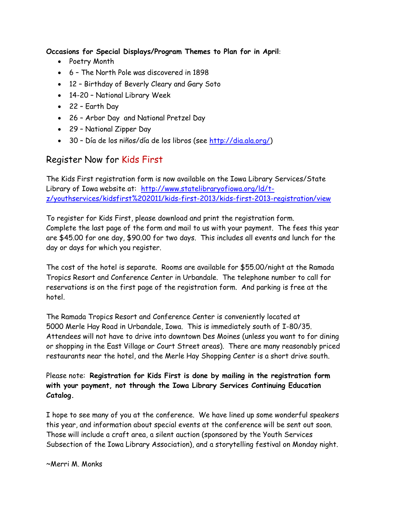#### **Occasions for Special Displays/Program Themes to Plan for in April**:

- Poetry Month
- 6 The North Pole was discovered in 1898
- 12 Birthday of Beverly Cleary and Gary Soto
- 14-20 National Library Week
- 22 Earth Day
- 26 Arbor Day and National Pretzel Day
- 29 National Zipper Day
- 30 Día de los niños/día de los libros (see [http://dia.ala.org/\)](http://dia.ala.org/)

#### Register Now for Kids First

The Kids First registration form is now available on the Iowa Library Services/State Library of Iowa website at: [http://www.statelibraryofiowa.org/ld/t](http://www.statelibraryofiowa.org/ld/t-z/youthservices/kidsfirst%202011/kids-first-2013/kids-first-2013-registration/view)[z/youthservices/kidsfirst%202011/kids-first-2013/kids-first-2013-registration/view](http://www.statelibraryofiowa.org/ld/t-z/youthservices/kidsfirst%202011/kids-first-2013/kids-first-2013-registration/view)

To register for Kids First, please download and print the registration form. Complete the last page of the form and mail to us with your payment. The fees this year are \$45.00 for one day, \$90.00 for two days. This includes all events and lunch for the day or days for which you register.

The cost of the hotel is separate. Rooms are available for \$55.00/night at the Ramada Tropics Resort and Conference Center in Urbandale. The telephone number to call for reservations is on the first page of the registration form. And parking is free at the hotel.

The Ramada Tropics Resort and Conference Center is conveniently located at 5000 Merle Hay Road in Urbandale, Iowa. This is immediately south of I-80/35. Attendees will not have to drive into downtown Des Moines (unless you want to for dining or shopping in the East Village or Court Street areas). There are many reasonably priced restaurants near the hotel, and the Merle Hay Shopping Center is a short drive south.

Please note: **Registration for Kids First is done by mailing in the registration form with your payment, not through the Iowa Library Services Continuing Education Catalog.**

I hope to see many of you at the conference. We have lined up some wonderful speakers this year, and information about special events at the conference will be sent out soon. Those will include a craft area, a silent auction (sponsored by the Youth Services Subsection of the Iowa Library Association), and a storytelling festival on Monday night.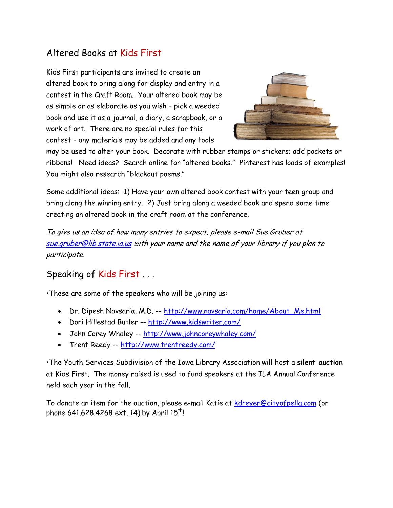### Altered Books at Kids First

Kids First participants are invited to create an altered book to bring along for display and entry in a contest in the Craft Room. Your altered book may be as simple or as elaborate as you wish – pick a weeded book and use it as a journal, a diary, a scrapbook, or a work of art. There are no special rules for this contest – any materials may be added and any tools



may be used to alter your book. Decorate with rubber stamps or stickers; add pockets or ribbons! Need ideas? Search online for "altered books." Pinterest has loads of examples! You might also research "blackout poems."

Some additional ideas: 1) Have your own altered book contest with your teen group and bring along the winning entry. 2) Just bring along a weeded book and spend some time creating an altered book in the craft room at the conference.

To give us an idea of how many entries to expect, please e-mail Sue Gruber at [sue.gruber@lib.state.ia.us](mailto:sue.gruber@lib.state.ia.us) with your name and the name of your library if you plan to participate.

#### Speaking of Kids First . . .

•These are some of the speakers who will be joining us:

- Dr. Dipesh Navsaria, M.D. -- [http://www.navsaria.com/home/About\\_Me.html](http://www.navsaria.com/home/About_Me.html)
- Dori Hillestad Butler -- <http://www.kidswriter.com/>
- John Corey Whaley -- <http://www.johncoreywhaley.com/>
- Trent Reedy -- <http://www.trentreedy.com/>

•The Youth Services Subdivision of the Iowa Library Association will host a **silent auction**  at Kids First. The money raised is used to fund speakers at the ILA Annual Conference held each year in the fall.

To donate an item for the auction, please e-mail Katie at [kdreyer@cityofpella.com](mailto:kdreyer@cityofpella.com) (or phone 641.628.4268 ext. 14) by April  $15^{th}$ !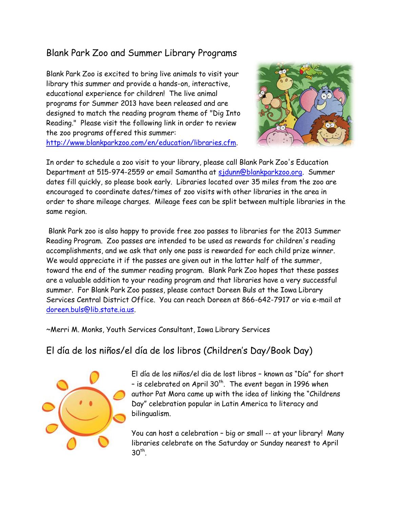## Blank Park Zoo and Summer Library Programs

Blank Park Zoo is excited to bring live animals to visit your library this summer and provide a hands-on, interactive, educational experience for children! The live animal programs for Summer 2013 have been released and are designed to match the reading program theme of "Dig Into Reading." Please visit the following link in order to review the zoo programs offered this summer: [http://www.blankparkzoo.com/en/education/libraries.cfm.](http://www.blankparkzoo.com/en/education/libraries.cfm)



In order to schedule a zoo visit to your library, please call Blank Park Zoo's Education Department at 515-974-2559 or email Samantha at [sjdunn@blankparkzoo.org.](mailto:sjdunn@blankparkzoo.org) Summer dates fill quickly, so please book early. Libraries located over 35 miles from the zoo are encouraged to coordinate dates/times of zoo visits with other libraries in the area in order to share mileage charges. Mileage fees can be split between multiple libraries in the same region.

Blank Park zoo is also happy to provide free zoo passes to libraries for the 2013 Summer Reading Program. Zoo passes are intended to be used as rewards for children's reading accomplishments, and we ask that only one pass is rewarded for each child prize winner. We would appreciate it if the passes are given out in the latter half of the summer, toward the end of the summer reading program. Blank Park Zoo hopes that these passes are a valuable addition to your reading program and that libraries have a very successful summer. For Blank Park Zoo passes, please contact Doreen Buls at the Iowa Library Services Central District Office. You can reach Doreen at 866-642-7917 or via e-mail at [doreen.buls@lib.state.ia.us.](mailto:doreen.buls@lib.state.ia.us)

~Merri M. Monks, Youth Services Consultant, Iowa Library Services

# El día de los niños/el día de los libros (Children's Day/Book Day)



El día de los niños/el dia de lost libros – known as "Día" for short – is celebrated on April 30<sup>th</sup>. The event began in 1996 when author Pat Mora came up with the idea of linking the "Childrens Day" celebration popular in Latin America to literacy and bilingualism.

You can host a celebration – big or small -- at your library! Many libraries celebrate on the Saturday or Sunday nearest to April  $30<sup>th</sup>$ .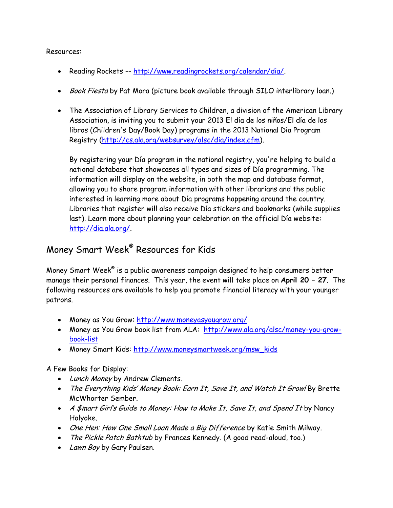Resources:

- Reading Rockets -- [http://www.readingrockets.org/calendar/dia/.](http://www.readingrockets.org/calendar/dia/)
- Book Fiesta by Pat Mora (picture book available through SILO interlibrary loan.)
- The Association of Library Services to Children, a division of the American Library Association, is inviting you to submit your 2013 El día de los niños/El día de los libros (Children's Day/Book Day) programs in the 2013 National Día Program Registry [\(http://cs.ala.org/websurvey/alsc/dia/index.cfm\)](http://cs.ala.org/websurvey/alsc/dia/index.cfm).

By registering your Día program in the national registry, you're helping to build a national database that showcases all types and sizes of Día programming. The information will display on the website, in both the map and database format, allowing you to share program information with other librarians and the public interested in learning more about Día programs happening around the country. Libraries that register will also receive Día stickers and bookmarks (while supplies last). Learn more about planning your celebration on the official Día website: [http://dia.ala.org/.](http://dia.ala.org/)

#### Money Smart Week® Resources for Kids

Money Smart Week $^\circ$  is a public awareness campaign designed to help consumers better manage their personal finances. This year, the event will take place on **April 20 – 27**. The following resources are available to help you promote financial literacy with your younger patrons.

- Money as You Grow:<http://www.moneyasyougrow.org/>
- Money as You Grow book list from ALA: [http://www.ala.org/alsc/money-you-grow](http://www.ala.org/alsc/money-you-grow-book-list)[book-list](http://www.ala.org/alsc/money-you-grow-book-list)
- Money Smart Kids: [http://www.moneysmartweek.org/msw\\_kids](http://www.moneysmartweek.org/msw_kids)

A Few Books for Display:

- Lunch Money by Andrew Clements.
- The Everything Kids' Money Book: Earn It, Save It, and Watch It Grow! By Brette McWhorter Sember.
- A \$mart Girl's Guide to Money: How to Make It, Save It, and Spend It by Nancy Holyoke.
- One Hen: How One Small Loan Made a Big Difference by Katie Smith Milway.
- The Pickle Patch Bathtub by Frances Kennedy. (A good read-aloud, too.)
- Lawn Boy by Gary Paulsen.